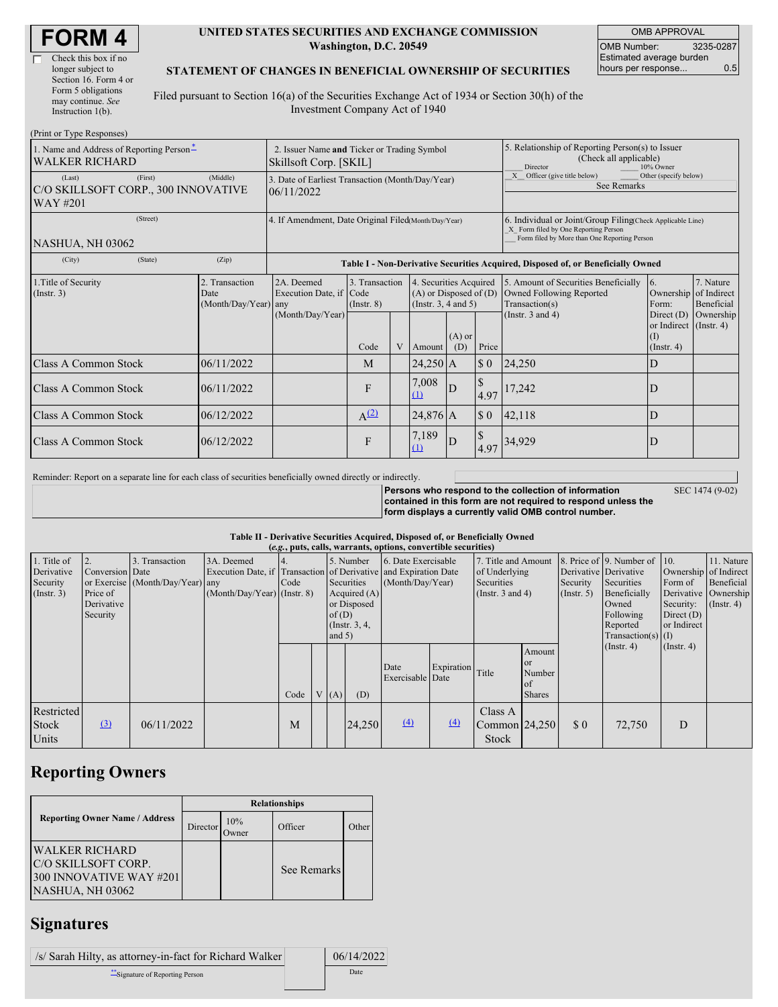| Check this box if no  |
|-----------------------|
| longer subject to     |
| Section 16. Form 4 or |
| Form 5 obligations    |
| may continue. See     |
| Instruction $1(b)$ .  |

 $(Print or True  $Be$ )$ 

#### **UNITED STATES SECURITIES AND EXCHANGE COMMISSION Washington, D.C. 20549**

OMB APPROVAL OMB Number: 3235-0287 Estimated average burden hours per response... 0.5

### **STATEMENT OF CHANGES IN BENEFICIAL OWNERSHIP OF SECURITIES**

Filed pursuant to Section 16(a) of the Securities Exchange Act of 1934 or Section 30(h) of the Investment Company Act of 1940

| 1. Name and Address of Reporting Person-<br><b>WALKER RICHARD</b>                |  | 2. Issuer Name and Ticker or Trading Symbol<br>Skillsoft Corp. [SKIL] |                                                                                  |                                   |  |                                                                              |                 | 5. Relationship of Reporting Person(s) to Issuer<br>(Check all applicable)<br>10% Owner<br>Director |                                                                                                                                                    |                                                                |                         |  |
|----------------------------------------------------------------------------------|--|-----------------------------------------------------------------------|----------------------------------------------------------------------------------|-----------------------------------|--|------------------------------------------------------------------------------|-----------------|-----------------------------------------------------------------------------------------------------|----------------------------------------------------------------------------------------------------------------------------------------------------|----------------------------------------------------------------|-------------------------|--|
| (First)<br>(Middle)<br>(Last)<br>C/O SKILLSOFT CORP., 300 INNOVATIVE<br>WAY #201 |  |                                                                       | 3. Date of Earliest Transaction (Month/Day/Year)<br>06/11/2022                   |                                   |  |                                                                              |                 |                                                                                                     | Other (specify below)<br>X Officer (give title below)<br>See Remarks                                                                               |                                                                |                         |  |
| (Street)<br>NASHUA, NH 03062                                                     |  |                                                                       | 4. If Amendment, Date Original Filed(Month/Day/Year)                             |                                   |  |                                                                              |                 |                                                                                                     | 6. Individual or Joint/Group Filing(Check Applicable Line)<br>X Form filed by One Reporting Person<br>Form filed by More than One Reporting Person |                                                                |                         |  |
| (State)<br>(City)                                                                |  | (Zip)                                                                 | Table I - Non-Derivative Securities Acquired, Disposed of, or Beneficially Owned |                                   |  |                                                                              |                 |                                                                                                     |                                                                                                                                                    |                                                                |                         |  |
| 1. Title of Security<br>$($ Instr. 3 $)$<br>Date                                 |  | 2. Transaction<br>(Month/Day/Year) any                                | 2A. Deemed<br>Execution Date, if Code<br>(Month/Day/Year)                        | 3. Transaction<br>$($ Instr. $8)$ |  | 4. Securities Acquired<br>$(A)$ or Disposed of $(D)$<br>(Insert. 3, 4 and 5) |                 |                                                                                                     | 5. Amount of Securities Beneficially<br>Owned Following Reported<br>Transaction(s)                                                                 | 6.<br>Ownership of Indirect<br>Form:                           | 7. Nature<br>Beneficial |  |
|                                                                                  |  |                                                                       |                                                                                  | Code                              |  | Amount                                                                       | $(A)$ or<br>(D) | Price                                                                                               | (Instr. $3$ and $4$ )                                                                                                                              | Direct $(D)$<br>or Indirect (Instr. 4)<br>(I)<br>$($ Instr. 4) | Ownership               |  |
| <b>Class A Common Stock</b>                                                      |  | 06/11/2022                                                            |                                                                                  | M                                 |  | $24,250$ A                                                                   |                 | $\sqrt{3}0$                                                                                         | <b>24,250</b>                                                                                                                                      | D                                                              |                         |  |
| Class A Common Stock                                                             |  | 06/11/2022                                                            |                                                                                  | F                                 |  | 7,008<br>(1)                                                                 | ID              | 4.97                                                                                                | 17,242                                                                                                                                             | D                                                              |                         |  |
| <b>Class A Common Stock</b>                                                      |  | 06/12/2022                                                            |                                                                                  | $A^{(2)}$                         |  | 24,876 A                                                                     |                 | $\boldsymbol{\mathsf{S}}$ 0                                                                         | 42,118                                                                                                                                             | D                                                              |                         |  |
| <b>Class A Common Stock</b>                                                      |  | 06/12/2022                                                            |                                                                                  | F                                 |  | 7,189<br>(1)                                                                 | D               | 4.97                                                                                                | 34.929                                                                                                                                             | D                                                              |                         |  |

Reminder: Report on a separate line for each class of securities beneficially owned directly or indirectly.

**Persons who respond to the collection of information contained in this form are not required to respond unless the form displays a currently valid OMB control number.**

SEC 1474 (9-02)

**Table II - Derivative Securities Acquired, Disposed of, or Beneficially Owned**

| (e.g., puts, calls, warrants, options, convertible securities) |                                                                           |                                                 |                                             |      |                                                                                                                                                                       |     |                                         |                          |                                                                             |                                          |                                                       |                                                                                                                      |                                                                              |                                                                      |  |
|----------------------------------------------------------------|---------------------------------------------------------------------------|-------------------------------------------------|---------------------------------------------|------|-----------------------------------------------------------------------------------------------------------------------------------------------------------------------|-----|-----------------------------------------|--------------------------|-----------------------------------------------------------------------------|------------------------------------------|-------------------------------------------------------|----------------------------------------------------------------------------------------------------------------------|------------------------------------------------------------------------------|----------------------------------------------------------------------|--|
| 1. Title of<br>Derivative<br>Security<br>(Insert. 3)           | $\overline{2}$ .<br>Conversion Date<br>Price of<br>Derivative<br>Security | Transaction<br>or Exercise (Month/Day/Year) any | 3A. Deemed<br>$(Month/Day/Year)$ (Instr. 8) | Code | 5. Number<br>Execution Date, if Transaction of Derivative and Expiration Date<br>Securities<br>Acquired $(A)$<br>or Disposed<br>of(D)<br>$($ Instr. 3, 4,<br>and $5)$ |     | 6. Date Exercisable<br>(Month/Day/Year) |                          | 7. Title and Amount<br>of Underlying<br>Securities<br>(Instr. $3$ and $4$ ) |                                          | Derivative Derivative<br>Security<br>$($ Instr. 5 $)$ | 8. Price of 9. Number of 10.<br>Securities<br>Beneficially<br>Owned<br>Following<br>Reported<br>$Transaction(s)$ (I) | Ownership of Indirect<br>Form of<br>Security:<br>Direct $(D)$<br>or Indirect | 11. Nature<br>Beneficial<br>Derivative Ownership<br>$($ Instr. 4 $)$ |  |
|                                                                |                                                                           |                                                 |                                             | Code |                                                                                                                                                                       | (A) | (D)                                     | Date<br>Exercisable Date | Expiration Title                                                            |                                          | Amount<br>or<br>Number<br>of<br><b>Shares</b>         |                                                                                                                      | $($ Instr. 4 $)$                                                             | $($ Instr. 4 $)$                                                     |  |
| Restricted<br>Stock<br>Units                                   | $\left( \frac{3}{2} \right)$                                              | 06/11/2022                                      |                                             | M    |                                                                                                                                                                       |     | 24,250                                  | $\Delta$                 | (4)                                                                         | Class A<br>Common 24,250<br><b>Stock</b> |                                                       | $\Omega$                                                                                                             | 72,750                                                                       | D                                                                    |  |

# **Reporting Owners**

|                                                                                              | <b>Relationships</b> |                      |                    |       |  |  |  |  |
|----------------------------------------------------------------------------------------------|----------------------|----------------------|--------------------|-------|--|--|--|--|
| <b>Reporting Owner Name / Address</b>                                                        | Director             | 10%<br><b>J</b> wner | Officer            | Other |  |  |  |  |
| <b>WALKER RICHARD</b><br>IC/O SKILLSOFT CORP.<br>300 INNOVATIVE WAY #201<br>NASHUA, NH 03062 |                      |                      | <b>See Remarks</b> |       |  |  |  |  |

## **Signatures**

| /s/ Sarah Hilty, as attorney-in-fact for Richard Walker | 06/14/2022 |
|---------------------------------------------------------|------------|
| Signature of Reporting Person                           | Date       |